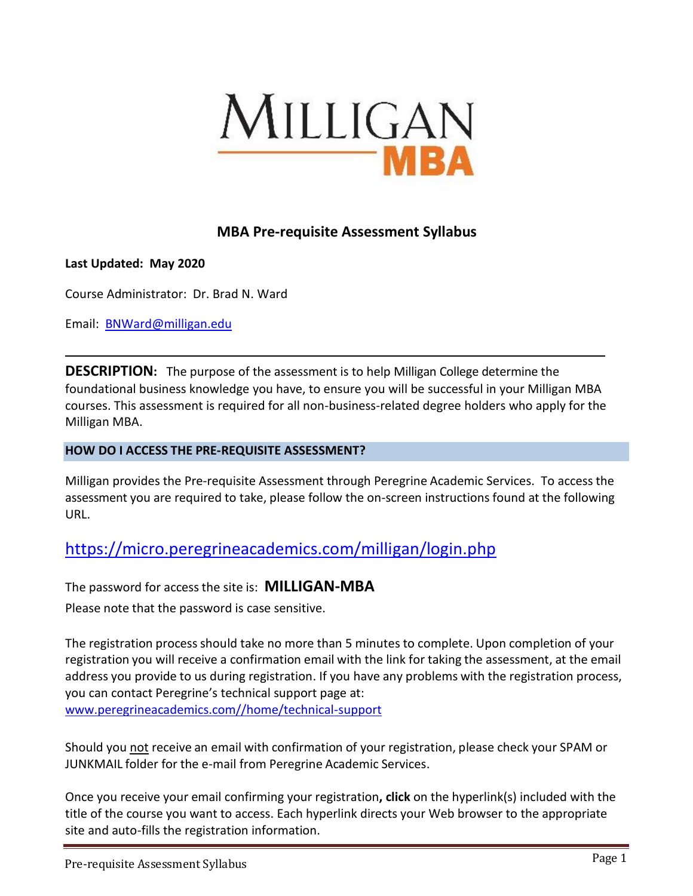

## **MBA Pre-requisite Assessment Syllabus**

### **Last Updated: May 2020**

Course Administrator: Dr. Brad N. Ward

Email: [BNWard@milligan.edu](mailto:BNWard@milligan.edu)

**DESCRIPTION:** The purpose of the assessment is to help Milligan College determine the foundational business knowledge you have, to ensure you will be successful in your Milligan MBA courses. This assessment is required for all non-business-related degree holders who apply for the Milligan MBA.

### **HOW DO I ACCESS THE PRE-REQUISITE ASSESSMENT?**

Milligan provides the Pre-requisite Assessment through Peregrine Academic Services. To access the assessment you are required to take, please follow the on-screen instructions found at the following URL.

## <https://micro.peregrineacademics.com/milligan/login.php>

The password for accessthe site is: **MILLIGAN-MBA** Please note that the password is case sensitive.

The registration process should take no more than 5 minutes to complete. Upon completion of your registration you will receive a confirmation email with the link for taking the assessment, at the email address you provide to us during registration. If you have any problems with the registration process, you can contact Peregrine's technical support page at: [www.peregrineacademics.com//home/technical-support](http://www.peregrineacademics.com/home/technical-support)

Should you not receive an email with confirmation of your registration, please check your SPAM or JUNKMAIL folder for the e-mail from Peregrine Academic Services.

Once you receive your email confirming your registration**, click** on the hyperlink(s) included with the title of the course you want to access. Each hyperlink directs your Web browser to the appropriate site and auto-fills the registration information.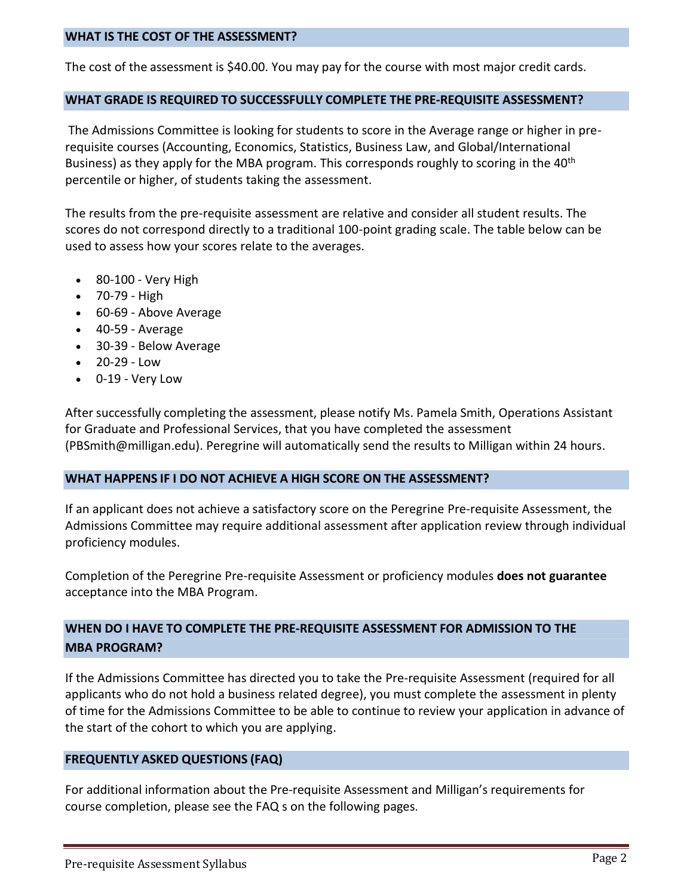#### **WHAT IS THE COST OF THE ASSESSMENT?**

The cost of the assessment is \$40.00. You may pay for the course with most major credit cards.

#### **WHAT GRADE IS REQUIRED TO SUCCESSFULLY COMPLETE THE PRE-REQUISITE ASSESSMENT?**

The Admissions Committee is looking for students to score in the Average range or higher in prerequisite courses (Accounting, Economics, Statistics, Business Law, and Global/International Business) as they apply for the MBA program. This corresponds roughly to scoring in the 40<sup>th</sup> percentile or higher, of students taking the assessment.

The results from the pre-requisite assessment are relative and consider all student results. The scores do not correspond directly to a traditional 100-point grading scale. The table below can be used to assess how your scores relate to the averages.

- 80-100 Very High
- 70-79 High
- 60-69 Above Average
- $\bullet$  40-59 Average
- 30-39 Below Average
- $-20-29 Low$
- 0-19 Very Low

After successfully completing the assessment, please notify Ms. Pamela Smith, Operations Assistant for Graduate and Professional Services, that you have completed the assessment (PBSmith@milligan.edu). Peregrine will automatically send the results to Milligan within 24 hours.

#### **WHAT HAPPENS IF I DO NOT ACHIEVE A HIGH SCORE ON THE ASSESSMENT?**

If an applicant does not achieve a satisfactory score on the Peregrine Pre-requisite Assessment, the Admissions Committee may require additional assessment after application review through individual proficiency modules.

Completion of the Peregrine Pre-requisite Assessment or proficiency modules **does not guarantee** acceptance into the MBA Program.

### **WHEN DO I HAVE TO COMPLETE THE PRE-REQUISITE ASSESSMENT FOR ADMISSION TO THE MBA PROGRAM?**

If the Admissions Committee has directed you to take the Pre-requisite Assessment (required for all applicants who do not hold a business related degree), you must complete the assessment in plenty of time for the Admissions Committee to be able to continue to review your application in advance of the start of the cohort to which you are applying.

#### **FREQUENTLY ASKED QUESTIONS (FAQ)**

For additional information about the Pre-requisite Assessment and Milligan's requirements for course completion, please see the FAQ s on the following pages.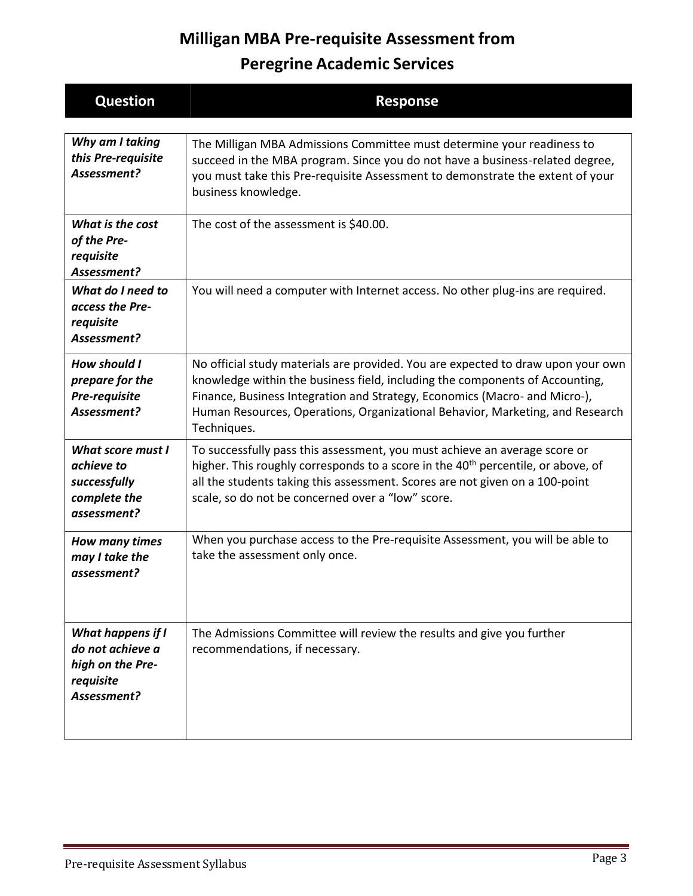# **Milligan MBA Pre-requisite Assessment from**

# **Peregrine Academic Services**

| <b>Question</b>                                                                       | <b>Response</b>                                                                                                                                                                                                                                                                                                                                |
|---------------------------------------------------------------------------------------|------------------------------------------------------------------------------------------------------------------------------------------------------------------------------------------------------------------------------------------------------------------------------------------------------------------------------------------------|
|                                                                                       |                                                                                                                                                                                                                                                                                                                                                |
| Why am I taking<br>this Pre-requisite<br>Assessment?                                  | The Milligan MBA Admissions Committee must determine your readiness to<br>succeed in the MBA program. Since you do not have a business-related degree,<br>you must take this Pre-requisite Assessment to demonstrate the extent of your<br>business knowledge.                                                                                 |
| What is the cost<br>of the Pre-<br>requisite<br>Assessment?                           | The cost of the assessment is \$40.00.                                                                                                                                                                                                                                                                                                         |
| What do I need to<br>access the Pre-<br>requisite<br>Assessment?                      | You will need a computer with Internet access. No other plug-ins are required.                                                                                                                                                                                                                                                                 |
| How should I<br>prepare for the<br>Pre-requisite<br>Assessment?                       | No official study materials are provided. You are expected to draw upon your own<br>knowledge within the business field, including the components of Accounting,<br>Finance, Business Integration and Strategy, Economics (Macro- and Micro-),<br>Human Resources, Operations, Organizational Behavior, Marketing, and Research<br>Techniques. |
| What score must I<br>achieve to<br>successfully<br>complete the<br>assessment?        | To successfully pass this assessment, you must achieve an average score or<br>higher. This roughly corresponds to a score in the 40 <sup>th</sup> percentile, or above, of<br>all the students taking this assessment. Scores are not given on a 100-point<br>scale, so do not be concerned over a "low" score.                                |
| <b>How many times</b><br>may I take the<br>assessment?                                | When you purchase access to the Pre-requisite Assessment, you will be able to<br>take the assessment only once.                                                                                                                                                                                                                                |
| What happens if I<br>do not achieve a<br>high on the Pre-<br>requisite<br>Assessment? | The Admissions Committee will review the results and give you further<br>recommendations, if necessary.                                                                                                                                                                                                                                        |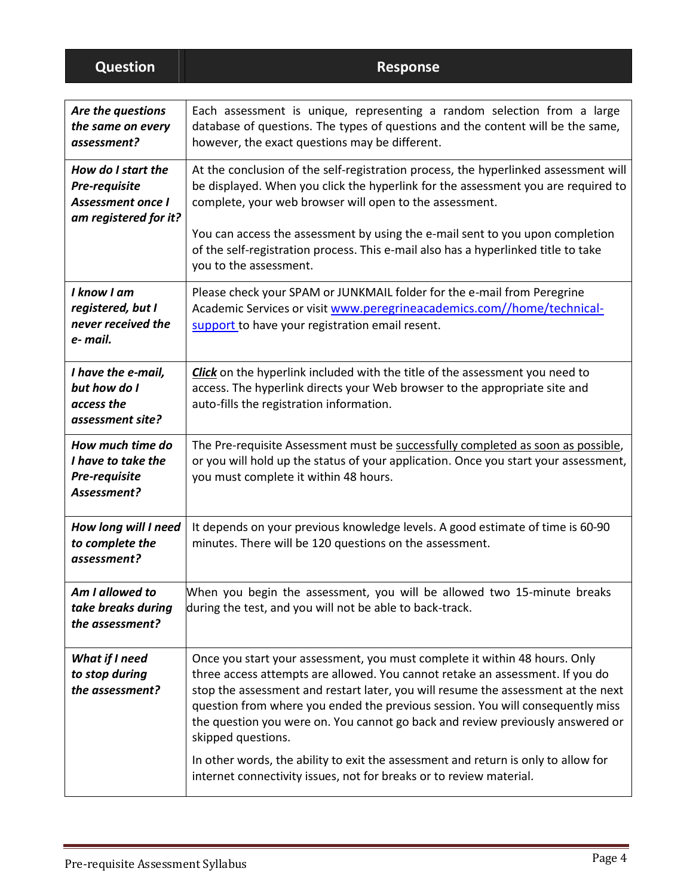# **Question Response**

| Are the questions<br>the same on every<br>assessment?                                    | Each assessment is unique, representing a random selection from a large<br>database of questions. The types of questions and the content will be the same,<br>however, the exact questions may be different.                                                                                                                                                                                                                                                                                                                                                                                            |
|------------------------------------------------------------------------------------------|---------------------------------------------------------------------------------------------------------------------------------------------------------------------------------------------------------------------------------------------------------------------------------------------------------------------------------------------------------------------------------------------------------------------------------------------------------------------------------------------------------------------------------------------------------------------------------------------------------|
| How do I start the<br>Pre-requisite<br><b>Assessment once I</b><br>am registered for it? | At the conclusion of the self-registration process, the hyperlinked assessment will<br>be displayed. When you click the hyperlink for the assessment you are required to<br>complete, your web browser will open to the assessment.<br>You can access the assessment by using the e-mail sent to you upon completion                                                                                                                                                                                                                                                                                    |
|                                                                                          | of the self-registration process. This e-mail also has a hyperlinked title to take<br>you to the assessment.                                                                                                                                                                                                                                                                                                                                                                                                                                                                                            |
| I know I am<br>registered, but I<br>never received the<br>e- mail.                       | Please check your SPAM or JUNKMAIL folder for the e-mail from Peregrine<br>Academic Services or visit www.peregrineacademics.com//home/technical-<br>support to have your registration email resent.                                                                                                                                                                                                                                                                                                                                                                                                    |
| I have the e-mail,<br>but how do I<br>access the<br>assessment site?                     | <b>Click</b> on the hyperlink included with the title of the assessment you need to<br>access. The hyperlink directs your Web browser to the appropriate site and<br>auto-fills the registration information.                                                                                                                                                                                                                                                                                                                                                                                           |
| How much time do<br>I have to take the<br>Pre-requisite<br>Assessment?                   | The Pre-requisite Assessment must be successfully completed as soon as possible,<br>or you will hold up the status of your application. Once you start your assessment,<br>you must complete it within 48 hours.                                                                                                                                                                                                                                                                                                                                                                                        |
| How long will I need<br>to complete the<br>assessment?                                   | It depends on your previous knowledge levels. A good estimate of time is 60-90<br>minutes. There will be 120 questions on the assessment.                                                                                                                                                                                                                                                                                                                                                                                                                                                               |
| Am I allowed to<br>take breaks during<br>the assessment?                                 | When you begin the assessment, you will be allowed two 15-minute breaks<br>during the test, and you will not be able to back-track.                                                                                                                                                                                                                                                                                                                                                                                                                                                                     |
| What if I need<br>to stop during<br>the assessment?                                      | Once you start your assessment, you must complete it within 48 hours. Only<br>three access attempts are allowed. You cannot retake an assessment. If you do<br>stop the assessment and restart later, you will resume the assessment at the next<br>question from where you ended the previous session. You will consequently miss<br>the question you were on. You cannot go back and review previously answered or<br>skipped questions.<br>In other words, the ability to exit the assessment and return is only to allow for<br>internet connectivity issues, not for breaks or to review material. |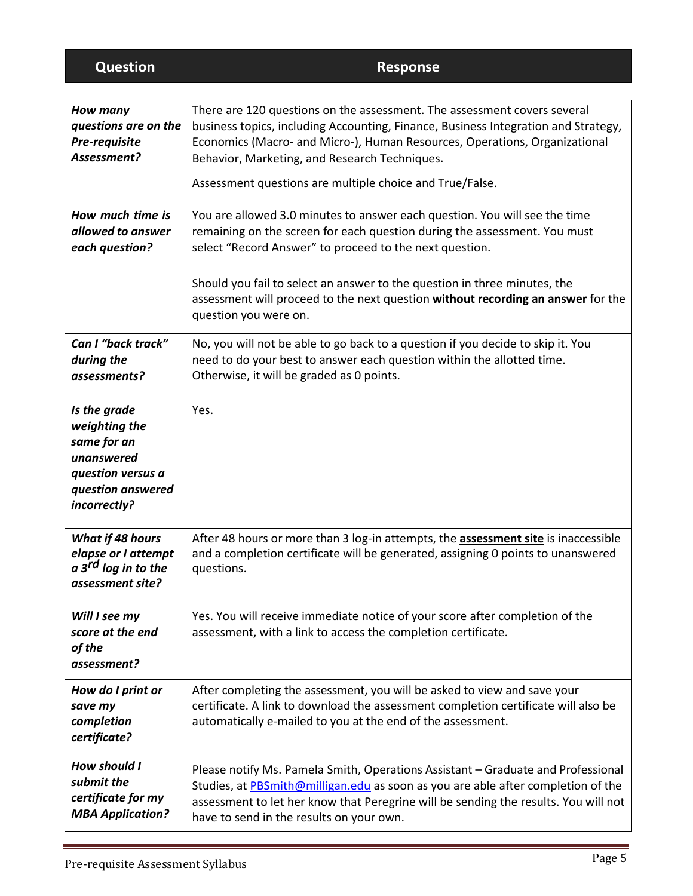| <b>Question</b>                                                                                                      | <b>Response</b>                                                                                                                                                                                                                                                                                                                                           |
|----------------------------------------------------------------------------------------------------------------------|-----------------------------------------------------------------------------------------------------------------------------------------------------------------------------------------------------------------------------------------------------------------------------------------------------------------------------------------------------------|
|                                                                                                                      |                                                                                                                                                                                                                                                                                                                                                           |
| <b>How many</b><br>questions are on the<br>Pre-requisite<br>Assessment?                                              | There are 120 questions on the assessment. The assessment covers several<br>business topics, including Accounting, Finance, Business Integration and Strategy,<br>Economics (Macro- and Micro-), Human Resources, Operations, Organizational<br>Behavior, Marketing, and Research Techniques.<br>Assessment questions are multiple choice and True/False. |
|                                                                                                                      |                                                                                                                                                                                                                                                                                                                                                           |
| How much time is<br>allowed to answer<br>each question?                                                              | You are allowed 3.0 minutes to answer each question. You will see the time<br>remaining on the screen for each question during the assessment. You must<br>select "Record Answer" to proceed to the next question.                                                                                                                                        |
|                                                                                                                      | Should you fail to select an answer to the question in three minutes, the<br>assessment will proceed to the next question without recording an answer for the<br>question you were on.                                                                                                                                                                    |
| Can I "back track"<br>during the<br>assessments?                                                                     | No, you will not be able to go back to a question if you decide to skip it. You<br>need to do your best to answer each question within the allotted time.<br>Otherwise, it will be graded as 0 points.                                                                                                                                                    |
| Is the grade<br>weighting the<br>same for an<br>unanswered<br>question versus a<br>question answered<br>incorrectly? | Yes.                                                                                                                                                                                                                                                                                                                                                      |
| <b>What if 48 hours</b><br>elanse or Lattemnt<br>a 3 <sup>rd</sup> log in to the<br>assessment site?                 | After 48 hours or more than 3 log-in attempts, the <b>assessment site</b> is inaccessible<br>and a completion certificate will be generated, assigning 0 points to unanswered<br>questions.                                                                                                                                                               |
| Will I see my<br>score at the end<br>of the<br>assessment?                                                           | Yes. You will receive immediate notice of your score after completion of the<br>assessment, with a link to access the completion certificate.                                                                                                                                                                                                             |
| How do I print or<br>save my<br>completion<br>certificate?                                                           | After completing the assessment, you will be asked to view and save your<br>certificate. A link to download the assessment completion certificate will also be<br>automatically e-mailed to you at the end of the assessment.                                                                                                                             |
| <b>How should I</b><br>submit the<br>certificate for my<br><b>MBA Application?</b>                                   | Please notify Ms. Pamela Smith, Operations Assistant - Graduate and Professional<br>Studies, at PBSmith@milligan.edu as soon as you are able after completion of the<br>assessment to let her know that Peregrine will be sending the results. You will not<br>have to send in the results on your own.                                                   |